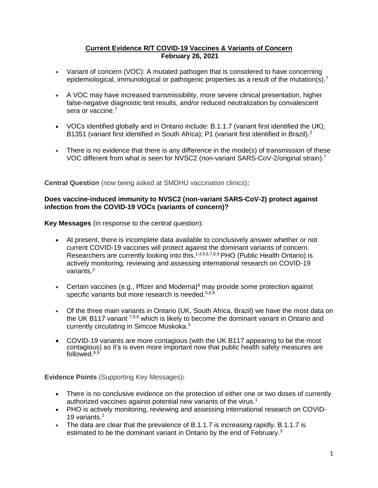## **Current Evidence R/T COVID-19 Vaccines & Variants of Concern February 26, 2021**

- Variant of concern (VOC): A mutated pathogen that is considered to have concerning epidemiological, immunological or pathogenic properties as a result of the mutation(s).<sup>7</sup>
- A VOC may have increased transmissibility, more severe clinical presentation, higher false-negative diagnostic test results, and/or reduced neutralization by convalescent sera or vaccine.<sup>7</sup>
- VOCs identified globally and in Ontario include: B.1.1.7 (variant first identified the UK); B1351 (variant first identified in South Africa); P1 (variant first identified in Brazil).<sup>2</sup>
- There is no evidence that there is any difference in the mode(s) of transmission of these VOC different from what is seen for NVSC2 (non-variant SARS-CoV-2/original strain).<sup>7</sup>

**Central Question** (now being asked at SMDHU vaccination clinics)**:**

## **Does vaccine-induced immunity to NVSC2 (non-variant SARS-CoV-2) protect against infection from the COVID-19 VOCs (variants of concern)?**

**Key Messages** (in response to the central question):

- At present, there is incomplete data available to conclusively answer whether or not current COVID-19 vaccines will protect against the dominant variants of concern. Researchers are currently looking into this.<sup>1,4,5,6,7,8,9</sup> PHO (Public Health Ontario) is actively monitoring, reviewing and assessing international research on COVID-19 variants.<sup>2</sup>
- Certain vaccines (e.g., Pfizer and Moderna)<sup>9</sup> may provide some protection against specific variants but more research is needed.<sup>5,6,9</sup>
- Of the three main variants in Ontario (UK, South Africa, Brazil) we have the most data on the UK B117 variant  $^{7,8,9}$  which is likely to become the dominant variant in Ontario and currently circulating in Simcoe Muskoka. 3
- COVID-19 variants are more contagious (with the UK B117 appearing to be the most contagious) so it's is even more important now that public health safety measures are followed. 8,9

**Evidence Points** (Supporting Key Messages)**:**

- There is no conclusive evidence on the protection of either one or two doses of currently authorized vaccines against potential new variants of the virus.<sup>1</sup>
- PHO is actively monitoring, reviewing and assessing international research on COVID-19 variants.<sup>2</sup>
- The data are clear that the prevalence of B.1.1.7 is increasing rapidly. B.1.1.7 is estimated to be the dominant variant in Ontario by the end of February.<sup>3</sup>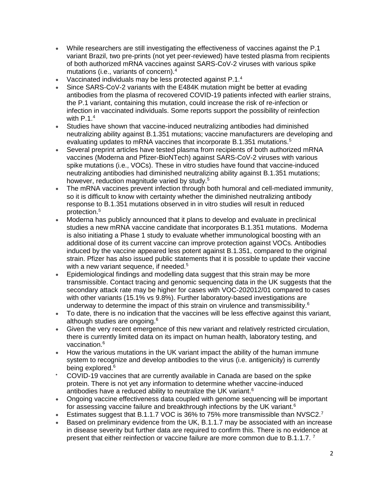- While researchers are still investigating the effectiveness of vaccines against the P.1 variant Brazil, two pre-prints (not yet peer-reviewed) have tested plasma from recipients of both authorized mRNA vaccines against SARS-CoV-2 viruses with various spike mutations (i.e., variants of concern).<sup>4</sup>
- Vaccinated individuals may be less protected against P.1.<sup>4</sup>
- Since SARS-CoV-2 variants with the E484K mutation might be better at evading antibodies from the plasma of recovered COVID-19 patients infected with earlier strains, the P.1 variant, containing this mutation, could increase the risk of re-infection or infection in vaccinated individuals. Some reports support the possibility of reinfection with  $P.1<sup>4</sup>$
- Studies have shown that vaccine-induced neutralizing antibodies had diminished neutralizing ability against B.1.351 mutations; vaccine manufacturers are developing and evaluating updates to mRNA vaccines that incorporate B.1.351 mutations.<sup>5</sup>
- Several preprint articles have tested plasma from recipients of both authorized mRNA vaccines (Moderna and Pfizer-BioNTech) against SARS-CoV-2 viruses with various spike mutations (i.e., VOCs). These in vitro studies have found that vaccine-induced neutralizing antibodies had diminished neutralizing ability against B.1.351 mutations; however, reduction magnitude varied by study.<sup>5</sup>
- The mRNA vaccines prevent infection through both humoral and cell-mediated immunity, so it is difficult to know with certainty whether the diminished neutralizing antibody response to B.1.351 mutations observed in in vitro studies will result in reduced protection.<sup>5</sup>
- Moderna has publicly announced that it plans to develop and evaluate in preclinical studies a new mRNA vaccine candidate that incorporates B.1.351 mutations. Moderna is also initiating a Phase 1 study to evaluate whether immunological boosting with an additional dose of its current vaccine can improve protection against VOCs. Antibodies induced by the vaccine appeared less potent against B.1.351, compared to the original strain. Pfizer has also issued public statements that it is possible to update their vaccine with a new variant sequence, if needed.<sup>5</sup>
- Epidemiological findings and modelling data suggest that this strain may be more transmissible. Contact tracing and genomic sequencing data in the UK suggests that the secondary attack rate may be higher for cases with VOC-202012/01 compared to cases with other variants (15.1% vs 9.8%). Further laboratory-based investigations are underway to determine the impact of this strain on virulence and transmissibility.<sup>6</sup>
- To date, there is no indication that the vaccines will be less effective against this variant, although studies are ongoing.<sup>6</sup>
- Given the very recent emergence of this new variant and relatively restricted circulation, there is currently limited data on its impact on human health, laboratory testing, and vaccination.<sup>6</sup>
- How the various mutations in the UK variant impact the ability of the human immune system to recognize and develop antibodies to the virus (i.e. antigenicity) is currently being explored.<sup>6</sup>
- COVID-19 vaccines that are currently available in Canada are based on the spike protein. There is not yet any information to determine whether vaccine-induced antibodies have a reduced ability to neutralize the UK variant.<sup>6</sup>
- Ongoing vaccine effectiveness data coupled with genome sequencing will be important for assessing vaccine failure and breakthrough infections by the UK variant.<sup>6</sup>
- Estimates suggest that B.1.1.7 VOC is 36% to 75% more transmissible than NVSC2.<sup>7</sup>
- Based on preliminary evidence from the UK, B.1.1.7 may be associated with an increase in disease severity but further data are required to confirm this. There is no evidence at present that either reinfection or vaccine failure are more common due to B.1.1.7.<sup>7</sup>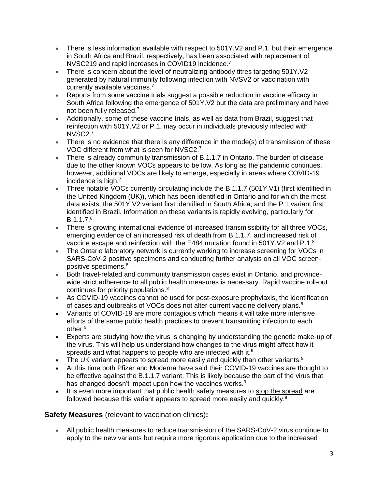- There is less information available with respect to 501Y.V2 and P.1. but their emergence in South Africa and Brazil, respectively, has been associated with replacement of NVSC219 and rapid increases in COVID19 incidence.<sup>7</sup>
- There is concern about the level of neutralizing antibody titres targeting 501Y.V2 generated by natural immunity following infection with NVSV2 or vaccination with currently available vaccines.<sup>7</sup>
- Reports from some vaccine trials suggest a possible reduction in vaccine efficacy in South Africa following the emergence of 501Y.V2 but the data are preliminary and have not been fully released.<sup>7</sup>
- Additionally, some of these vaccine trials, as well as data from Brazil, suggest that reinfection with 501Y.V2 or P.1. may occur in individuals previously infected with NVSC2. 7
- There is no evidence that there is any difference in the mode(s) of transmission of these VOC different from what is seen for NVSC2.<sup>7</sup>
- There is already community transmission of B.1.1.7 in Ontario. The burden of disease due to the other known VOCs appears to be low. As long as the pandemic continues, however, additional VOCs are likely to emerge, especially in areas where COVID-19 incidence is high. $<sup>7</sup>$ </sup>
- Three notable VOCs currently circulating include the B.1.1.7 (501Y.V1) (first identified in the United Kingdom (UK)), which has been identified in Ontario and for which the most data exists; the 501Y.V2 variant first identified in South Africa; and the P.1 variant first identified in Brazil. Information on these variants is rapidly evolving, particularly for  $B.1.1.7<sup>8</sup>$
- There is growing international evidence of increased transmissibility for all three VOCs, emerging evidence of an increased risk of death from B.1.1.7, and increased risk of vaccine escape and reinfection with the E484 mutation found in 501Y.V2 and P.1.<sup>8</sup>
- The Ontario laboratory network is currently working to increase screening for VOCs in SARS-CoV-2 positive specimens and conducting further analysis on all VOC screenpositive specimens.<sup>8</sup>
- Both travel-related and community transmission cases exist in Ontario, and provincewide strict adherence to all public health measures is necessary. Rapid vaccine roll-out continues for priority populations.<sup>8</sup>
- As COVID-19 vaccines cannot be used for post-exposure prophylaxis, the identification of cases and outbreaks of VOCs does not alter current vaccine delivery plans.<sup>8</sup>
- Variants of COVID-19 are more contagious which means it will take more intensive efforts of the same public health practices to prevent transmitting infection to each other.<sup>9</sup>
- Experts are studying how the virus is changing by understanding the genetic make-up of the virus. This will help us understand how changes to the virus might affect how it spreads and what happens to people who are infected with it.<sup>9</sup>
- The UK variant appears to spread more easily and quickly than other variants. $9$
- At this time both Pfizer and Moderna have said their COVID-19 vaccines are thought to be effective against the B.1.1.7 variant. This is likely because the part of the virus that has changed doesn't impact upon how the vaccines works.<sup>9</sup>
- It is even more important that public health safety measures to [stop the spread](https://www.simcoemuskokahealth.org/Topics/COVID-19/Stop-the-spread) are followed because this variant appears to spread more easily and quickly.<sup>9</sup>

## **Safety Measures** (relevant to vaccination clinics)**:**

 All public health measures to reduce transmission of the SARS-CoV-2 virus continue to apply to the new variants but require more rigorous application due to the increased